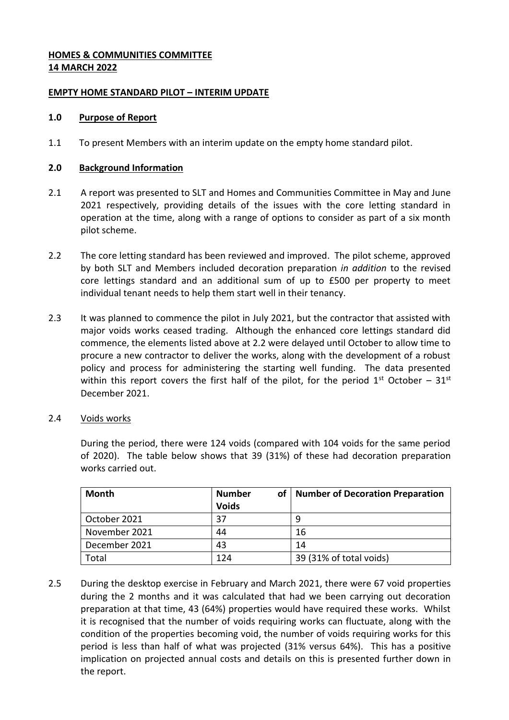## **HOMES & COMMUNITIES COMMITTEE 14 MARCH 2022**

## **EMPTY HOME STANDARD PILOT – INTERIM UPDATE**

## **1.0 Purpose of Report**

1.1 To present Members with an interim update on the empty home standard pilot.

## **2.0 Background Information**

- 2.1 A report was presented to SLT and Homes and Communities Committee in May and June 2021 respectively, providing details of the issues with the core letting standard in operation at the time, along with a range of options to consider as part of a six month pilot scheme.
- 2.2 The core letting standard has been reviewed and improved. The pilot scheme, approved by both SLT and Members included decoration preparation *in addition* to the revised core lettings standard and an additional sum of up to £500 per property to meet individual tenant needs to help them start well in their tenancy.
- 2.3 It was planned to commence the pilot in July 2021, but the contractor that assisted with major voids works ceased trading. Although the enhanced core lettings standard did commence, the elements listed above at 2.2 were delayed until October to allow time to procure a new contractor to deliver the works, along with the development of a robust policy and process for administering the starting well funding. The data presented within this report covers the first half of the pilot, for the period  $1<sup>st</sup>$  October –  $31<sup>st</sup>$ December 2021.
- 2.4 Voids works

During the period, there were 124 voids (compared with 104 voids for the same period of 2020). The table below shows that 39 (31%) of these had decoration preparation works carried out.

| Month         | <b>Number</b><br><b>Voids</b> | of   Number of Decoration Preparation |
|---------------|-------------------------------|---------------------------------------|
| October 2021  | 37                            |                                       |
| November 2021 | 44                            | 16                                    |
| December 2021 | 43                            | 14                                    |
| Total         | 124                           | 39 (31% of total voids)               |

2.5 During the desktop exercise in February and March 2021, there were 67 void properties during the 2 months and it was calculated that had we been carrying out decoration preparation at that time, 43 (64%) properties would have required these works. Whilst it is recognised that the number of voids requiring works can fluctuate, along with the condition of the properties becoming void, the number of voids requiring works for this period is less than half of what was projected (31% versus 64%). This has a positive implication on projected annual costs and details on this is presented further down in the report.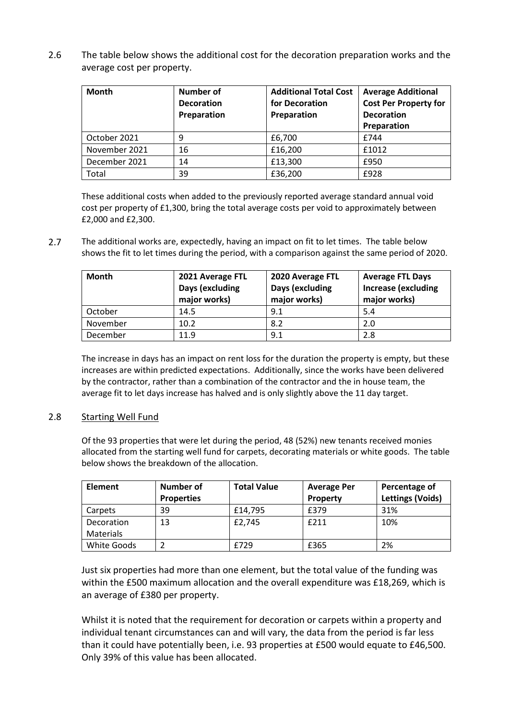2.6 The table below shows the additional cost for the decoration preparation works and the average cost per property.

| <b>Month</b>  | <b>Number of</b><br><b>Decoration</b><br>Preparation | <b>Additional Total Cost</b><br>for Decoration<br>Preparation | <b>Average Additional</b><br><b>Cost Per Property for</b><br><b>Decoration</b><br>Preparation |
|---------------|------------------------------------------------------|---------------------------------------------------------------|-----------------------------------------------------------------------------------------------|
| October 2021  | 9                                                    | £6,700                                                        | £744                                                                                          |
| November 2021 | 16                                                   | £16,200                                                       | £1012                                                                                         |
| December 2021 | 14                                                   | £13,300                                                       | £950                                                                                          |
| Total         | 39                                                   | £36,200                                                       | £928                                                                                          |

These additional costs when added to the previously reported average standard annual void cost per property of £1,300, bring the total average costs per void to approximately between £2,000 and £2,300.

2.7 The additional works are, expectedly, having an impact on fit to let times. The table below shows the fit to let times during the period, with a comparison against the same period of 2020.

| <b>Month</b> | 2021 Average FTL<br>Days (excluding<br>major works) | 2020 Average FTL<br>Days (excluding<br>major works) | <b>Average FTL Days</b><br><b>Increase (excluding</b><br>major works) |
|--------------|-----------------------------------------------------|-----------------------------------------------------|-----------------------------------------------------------------------|
| October      | 14.5                                                | 9.1                                                 | 5.4                                                                   |
| November     | 10.2                                                | 8.2                                                 | 2.0                                                                   |
| December     | 11.9                                                | 9.1                                                 | 2.8                                                                   |

The increase in days has an impact on rent loss for the duration the property is empty, but these increases are within predicted expectations. Additionally, since the works have been delivered by the contractor, rather than a combination of the contractor and the in house team, the average fit to let days increase has halved and is only slightly above the 11 day target.

### 2.8 Starting Well Fund

Of the 93 properties that were let during the period, 48 (52%) new tenants received monies allocated from the starting well fund for carpets, decorating materials or white goods. The table below shows the breakdown of the allocation.

| <b>Element</b> | Number of         | <b>Total Value</b> | <b>Average Per</b> | Percentage of           |
|----------------|-------------------|--------------------|--------------------|-------------------------|
|                | <b>Properties</b> |                    | <b>Property</b>    | <b>Lettings (Voids)</b> |
| Carpets        | 39                | £14,795            | £379               | 31%                     |
| Decoration     | 13                | £2,745             | £211               | 10%                     |
| Materials      |                   |                    |                    |                         |
| White Goods    |                   | f729               | £365               | 2%                      |

Just six properties had more than one element, but the total value of the funding was within the £500 maximum allocation and the overall expenditure was £18,269, which is an average of £380 per property.

Whilst it is noted that the requirement for decoration or carpets within a property and individual tenant circumstances can and will vary, the data from the period is far less than it could have potentially been, i.e. 93 properties at £500 would equate to £46,500. Only 39% of this value has been allocated.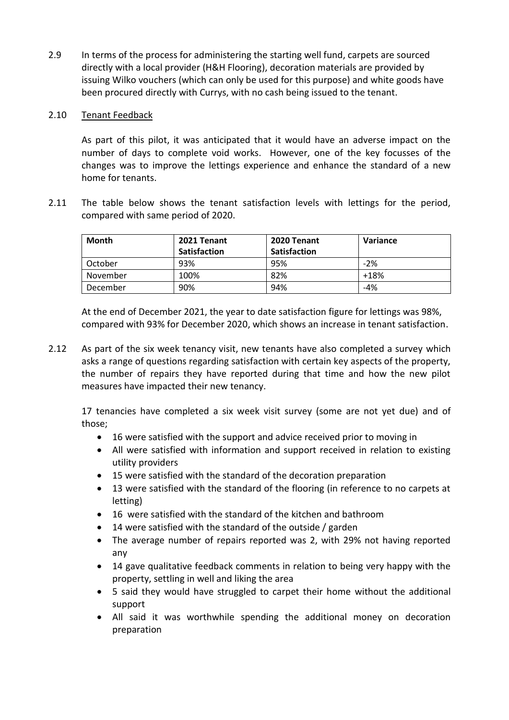2.9 In terms of the process for administering the starting well fund, carpets are sourced directly with a local provider (H&H Flooring), decoration materials are provided by issuing Wilko vouchers (which can only be used for this purpose) and white goods have been procured directly with Currys, with no cash being issued to the tenant.

## 2.10 Tenant Feedback

As part of this pilot, it was anticipated that it would have an adverse impact on the number of days to complete void works. However, one of the key focusses of the changes was to improve the lettings experience and enhance the standard of a new home for tenants.

2.11 The table below shows the tenant satisfaction levels with lettings for the period, compared with same period of 2020.

| Month    | 2021 Tenant  | 2020 Tenant         | Variance |
|----------|--------------|---------------------|----------|
|          | Satisfaction | <b>Satisfaction</b> |          |
| October  | 93%          | 95%                 | $-2%$    |
| November | 100%         | 82%                 | $+18%$   |
| December | 90%          | 94%                 | -4%      |

At the end of December 2021, the year to date satisfaction figure for lettings was 98%, compared with 93% for December 2020, which shows an increase in tenant satisfaction.

2.12 As part of the six week tenancy visit, new tenants have also completed a survey which asks a range of questions regarding satisfaction with certain key aspects of the property, the number of repairs they have reported during that time and how the new pilot measures have impacted their new tenancy.

17 tenancies have completed a six week visit survey (some are not yet due) and of those;

- 16 were satisfied with the support and advice received prior to moving in
- All were satisfied with information and support received in relation to existing utility providers
- 15 were satisfied with the standard of the decoration preparation
- 13 were satisfied with the standard of the flooring (in reference to no carpets at letting)
- 16 were satisfied with the standard of the kitchen and bathroom
- 14 were satisfied with the standard of the outside / garden
- The average number of repairs reported was 2, with 29% not having reported any
- 14 gave qualitative feedback comments in relation to being very happy with the property, settling in well and liking the area
- 5 said they would have struggled to carpet their home without the additional support
- All said it was worthwhile spending the additional money on decoration preparation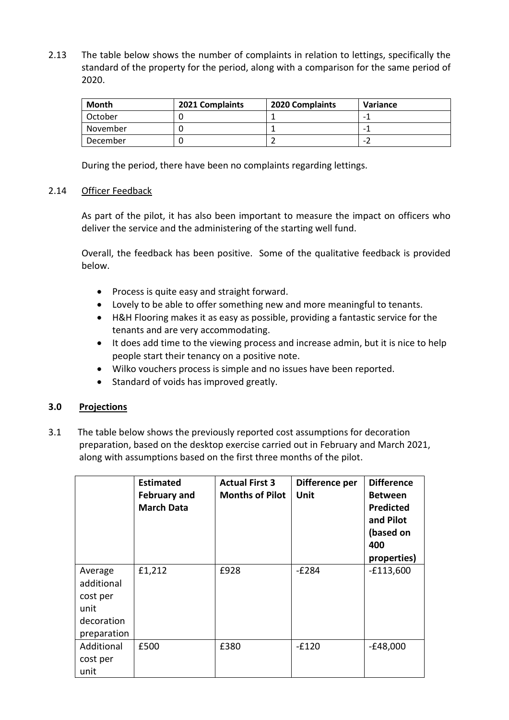2.13 The table below shows the number of complaints in relation to lettings, specifically the standard of the property for the period, along with a comparison for the same period of 2020.

| <b>Month</b> | 2021 Complaints | 2020 Complaints | Variance |
|--------------|-----------------|-----------------|----------|
| October      |                 |                 |          |
| November     |                 |                 |          |
| December     |                 |                 |          |

During the period, there have been no complaints regarding lettings.

### 2.14 Officer Feedback

As part of the pilot, it has also been important to measure the impact on officers who deliver the service and the administering of the starting well fund.

Overall, the feedback has been positive. Some of the qualitative feedback is provided below.

- Process is quite easy and straight forward.
- Lovely to be able to offer something new and more meaningful to tenants.
- H&H Flooring makes it as easy as possible, providing a fantastic service for the tenants and are very accommodating.
- It does add time to the viewing process and increase admin, but it is nice to help people start their tenancy on a positive note.
- Wilko vouchers process is simple and no issues have been reported.
- Standard of voids has improved greatly.

### **3.0 Projections**

3.1 The table below shows the previously reported cost assumptions for decoration preparation, based on the desktop exercise carried out in February and March 2021, along with assumptions based on the first three months of the pilot.

|                                                                        | <b>Estimated</b><br><b>February and</b><br><b>March Data</b> | <b>Actual First 3</b><br><b>Months of Pilot</b> | Difference per<br>Unit | <b>Difference</b><br><b>Between</b><br><b>Predicted</b><br>and Pilot<br>(based on<br>400<br>properties) |
|------------------------------------------------------------------------|--------------------------------------------------------------|-------------------------------------------------|------------------------|---------------------------------------------------------------------------------------------------------|
| Average<br>additional<br>cost per<br>unit<br>decoration<br>preparation | £1,212                                                       | £928                                            | $-E284$                | $-£113,600$                                                                                             |
| Additional<br>cost per<br>unit                                         | £500                                                         | £380                                            | $-£120$                | $-E48,000$                                                                                              |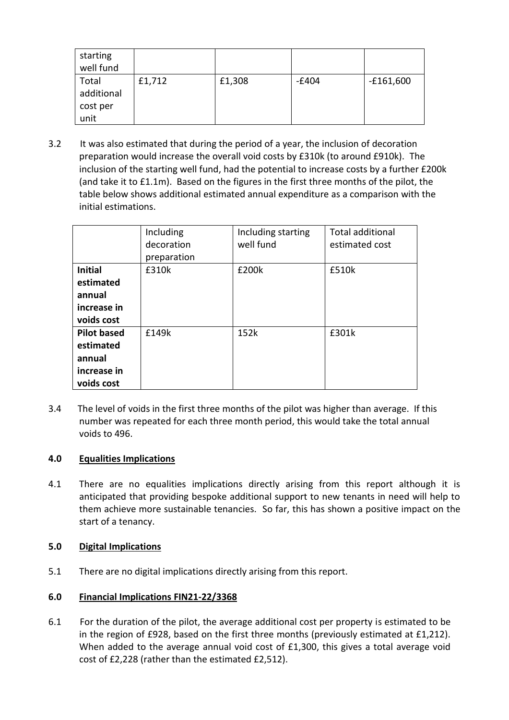| starting<br>well fund                   |        |        |         |             |
|-----------------------------------------|--------|--------|---------|-------------|
| Total<br>additional<br>cost per<br>unit | £1,712 | £1,308 | $-£404$ | $-£161,600$ |

3.2 It was also estimated that during the period of a year, the inclusion of decoration preparation would increase the overall void costs by £310k (to around £910k). The inclusion of the starting well fund, had the potential to increase costs by a further £200k (and take it to £1.1m). Based on the figures in the first three months of the pilot, the table below shows additional estimated annual expenditure as a comparison with the initial estimations.

|                    | Including   | Including starting | <b>Total additional</b> |
|--------------------|-------------|--------------------|-------------------------|
|                    | decoration  | well fund          | estimated cost          |
|                    | preparation |                    |                         |
| <b>Initial</b>     | £310k       | £200k              | £510k                   |
| estimated          |             |                    |                         |
| annual             |             |                    |                         |
| increase in        |             |                    |                         |
| voids cost         |             |                    |                         |
| <b>Pilot based</b> | £149k       | 152k               | £301k                   |
| estimated          |             |                    |                         |
| annual             |             |                    |                         |
| increase in        |             |                    |                         |
| voids cost         |             |                    |                         |

3.4 The level of voids in the first three months of the pilot was higher than average. If this number was repeated for each three month period, this would take the total annual voids to 496.

# **4.0 Equalities Implications**

4.1 There are no equalities implications directly arising from this report although it is anticipated that providing bespoke additional support to new tenants in need will help to them achieve more sustainable tenancies. So far, this has shown a positive impact on the start of a tenancy.

### **5.0 Digital Implications**

5.1 There are no digital implications directly arising from this report.

# **6.0 Financial Implications FIN21-22/3368**

6.1 For the duration of the pilot, the average additional cost per property is estimated to be in the region of £928, based on the first three months (previously estimated at £1,212). When added to the average annual void cost of £1,300, this gives a total average void cost of £2,228 (rather than the estimated £2,512).